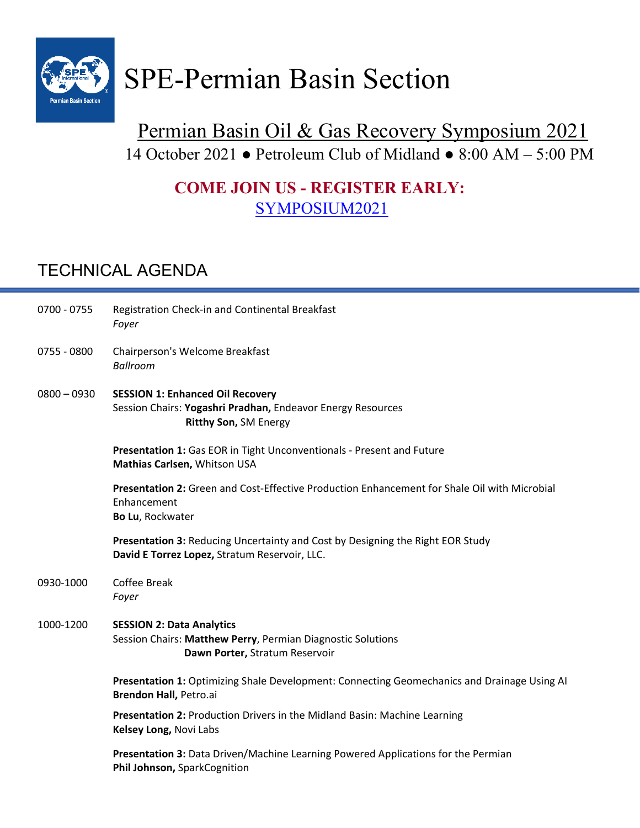

## Permian Basin Oil & Gas Recovery Symposium 2021 14 October 2021 ● Petroleum Club of Midland ● 8:00 AM – 5:00 PM

## **COME JOIN US - REGISTER EARLY:**  SYMPOSIUM2021

## TECHNICAL AGENDA

| $0700 - 0755$ | Registration Check-in and Continental Breakfast<br>Foyer                                                                          |
|---------------|-----------------------------------------------------------------------------------------------------------------------------------|
| 0755 - 0800   | Chairperson's Welcome Breakfast<br><b>Ballroom</b>                                                                                |
| $0800 - 0930$ | <b>SESSION 1: Enhanced Oil Recovery</b><br>Session Chairs: Yogashri Pradhan, Endeavor Energy Resources<br>Ritthy Son, SM Energy   |
|               | Presentation 1: Gas EOR in Tight Unconventionals - Present and Future<br>Mathias Carlsen, Whitson USA                             |
|               | Presentation 2: Green and Cost-Effective Production Enhancement for Shale Oil with Microbial<br>Enhancement<br>Bo Lu, Rockwater   |
|               | Presentation 3: Reducing Uncertainty and Cost by Designing the Right EOR Study<br>David E Torrez Lopez, Stratum Reservoir, LLC.   |
| 0930-1000     | <b>Coffee Break</b><br>Foyer                                                                                                      |
| 1000-1200     | <b>SESSION 2: Data Analytics</b><br>Session Chairs: Matthew Perry, Permian Diagnostic Solutions<br>Dawn Porter, Stratum Reservoir |
|               | Presentation 1: Optimizing Shale Development: Connecting Geomechanics and Drainage Using AI<br>Brendon Hall, Petro.ai             |
|               | Presentation 2: Production Drivers in the Midland Basin: Machine Learning<br>Kelsey Long, Novi Labs                               |
|               | Presentation 3: Data Driven/Machine Learning Powered Applications for the Permian<br>Phil Johnson, SparkCognition                 |